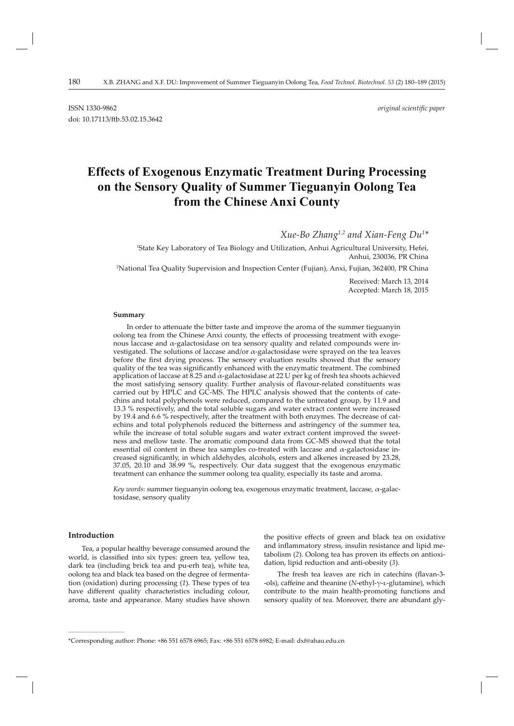# **Effects of Exogenous Enzymatic Treatment During Processing on the Sensory Quality of Summer Tieguanyin Oolong Tea from the Chinese Anxi County**

*Xue-Bo Zhang1,2 and Xian- Feng Du1 \**

1 S tate Key Laboratory of Tea Biology and Utilization, Anhui Agricultural University, Hefei, Anhui, 230036, PR China

2 National Tea Quality Supervision and Inspection Center ( Fujian), Anxi, Fujian, 362400, PR China

Received: March 13, 2014 Accepted: March 18, 2015

#### **Summary**

In order to attenuate the bitter taste and improve the aroma of the summer tieguanyin oolong tea from the Chinese Anxi county, the effects of processing treatment with exogenous laccase and α-galactosidase on tea sensory quality and related compounds were investigated. The solutions of laccase and/or  $\alpha$ -galactosidase were sprayed on the tea leaves before the first drying process. The sensory evaluation results showed that the sensory quality of the tea was significantly enhanced with the enzymatic treatment. The combined application of laccase at 8.25 and  $\alpha$ -galactosidase at 22 U per kg of fresh tea shoots achieved the most satisfying sensory quality. Further analysis of flavour-related constituents was carried out by HPLC and GC-MS. The HPLC analysis showed that the contents of catechins and total polyphenols were reduced, compared to the untreated group, by 11.9 and 13.3 % respectively, and the total soluble sugars and water extract content were increased by 19.4 and 6.6 % respectively, after the treatment with both enzymes. The decrease of catechins and total polyphenols reduced the bitterness and astringency of the summer tea, while the increase of total soluble sugars and water extract content improved the sweetness and mellow taste. The aromatic compound data from GC-MS showed that the total essential oil content in these tea samples co-treated with laccase and  $\alpha$ -galactosidase increased significantly, in which aldehydes, alcohols, esters and alkenes increased by 23.28, 37 .05, 20.10 and 38.99 %, respectively. Our data suggest that the exogenous enzymatic treatment can enhance the summer oolong tea quality, especially its taste and aroma.

*Key words*: summer tieguanyin oolong tea, exogenous enzymatic treatment, laccase, α-galactosidase, sensory quality

## **Introd uction**

**\_\_\_\_\_\_\_\_\_\_\_\_\_\_\_\_\_\_\_\_\_\_\_\_\_\_\_\_\_\_**

Tea, a popular healthy beverage consumed around the world, is classified into six types: green tea, yellow tea, dark tea (including brick tea and pu-erh tea), white tea, oolong tea and black tea based on the degree of fermentation (oxidation) during processing (*1*). These types of tea have different quality characteristics including colour, aroma, taste and appearance. Many studies have shown the positive effects of green and black tea on oxidative and inflammatory stress, insulin resistance and lipid metabolism (2). Oolong tea has proven its effects on antioxidation, lipid reduction and anti-obesity (*3*).

The fresh tea leaves are rich in catechins (flavan-3--ols), caffeine and theanine (*N*-ethyl-γ-L-glutamine), which contribute to the main health-promoting functions and sensory quality of tea. Moreover, there are abundant gly-

<sup>\*</sup>Corresponding author: Phone: +86 551 6578 6965; Fax: +86 551 6578 6982; E-mail: dxf@ahau.edu.cn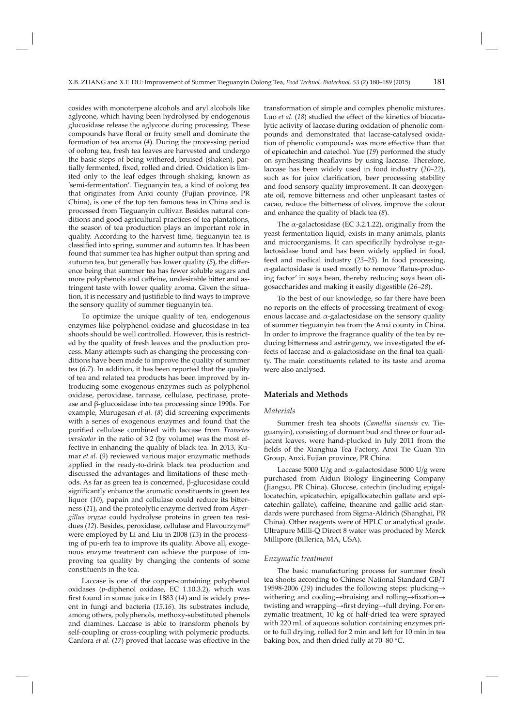cosides with monoterpene alcohols and aryl alcohols like aglycone, which having been hydrolysed by endogenous glucosidase release the aglycone during processing. These compounds have floral or fruity smell and dominate the formation of tea aroma (*4*). During the processing period of oolong tea, fresh tea leaves are harvested and undergo the basic steps of being withered, bruised (shaken), partially fermented, fixed, rolled and dried. Oxidation is limited only to the leaf edges through shaking, known as ′semi-fermentation′. Tieguanyin tea, a kind of oolong tea that originates from Anxi county (Fujian province, PR China), is one of the top ten famous teas in China and is processed from Tieguanyin cultivar. Besides natural conditions and good agricultural practices of tea plantations, the season of tea production plays an important role in quality. According to the harvest time, tieguanyin tea is classified into spring, summer and autumn tea. It has been found that summer tea has higher output than spring and autumn tea, but generally has lower quality (5), the differen ce being that summer tea has fewer soluble sugars and more polyphenols and caffeine, undesirable bitter and astringent taste with lower quality aroma. Given the situation, it is necessary and justifiable to find ways to improve the sensory quality of summer tieguanyin tea.

To optimize the unique quality of tea, endogenous enzymes like polyphenol oxidase and glucosidase in tea shoots should be well controlled. However, this is restricted by the quality of fresh leaves and the production process. Many attempts such as changing the processing conditions have been made to improve the quality of summer tea (*6,7*). In addition, it has been reported that the quality of tea and related tea products has been improved by introducing some exogenous enzymes such as polyphenol oxidase, peroxidase, tannase, cellulase, pectinase, protease and  $β$ -glucosidase into tea processing since 1990s. For example, Murugesan et al. (8) did screening experiments with a series of exogenous enzymes and found that the purified cellulase combined with laccase from *Trametes versicolor* in the ratio of 3:2 (by volume) was the most effective in enhancing the quality of black tea. In 2013, Kumar *et al.* (9) reviewed various major enzymatic methods applied in the ready-to-drink black tea production and discussed the advantages and limitations of these methods. As far as green tea is concerned, β-glucosidase could significantly enhance the aromatic constituents in green tea liquor (10), papain and cellulase could reduce its bitterness (11), and the proteolytic enzyme derived from *Aspergillus oryzae* could hydrolyse proteins in green tea residues (*12*). Besides, peroxidase, cellulase and Flavourzyme® were employed by Li and Liu in 2008 (*13*) in the processing of pu-erh tea to improve its quality. Above all, exogenous enzyme treatment can achieve the purpose of improving tea quality by changing the contents of some constituents in the tea.

Laccase is one of the copper-containing polyphenol oxidases (*p*-diphenol oxidase, EC 1.10.3.2), which was first found in sumac juice in 1883 (14) and is widely present in fungi and bacteria (*15,16*). Its substrates include, among others, polyphenols, methoxy-substituted phenols and diamines. Laccase is able to transform phenols by self-coupling or cross-coupling with polymeric products. Canfora *et al.* (17) proved that laccase was effective in the

transformation of simple and complex phenolic mixtures. Luo *et al.* (18) studied the effect of the kinetics of biocatalytic activity of laccase during oxidation of phenolic compounds and demonstrated that laccase-catalysed oxidation of phenolic compounds was more effective than that of epicatechin and catechol. Yue (*19*) performed the study on synthesising theaflavins by using laccase. Therefore, laccase has been widely used in food industry (*20–22*), such as for juice clarification, beer processing stability and food sensory quality improvement. It can deoxygenate oil, remove bitterness and other unpleasant tastes of cacao, reduce the bitterness of olives, improve the colour and enhance the quality of black tea (*8*).

The  $\alpha$ -galactosidase (EC 3.2.1.22), originally from the yeast fermentation liquid, exists in many animals, plants and microorganisms. It can specifically hydrolyse  $\alpha$ -galactosidase bond and has been widely applied in food, feed and medical industry (*23–25*). In food processing,  $\alpha$ -galactosidase is used mostly to remove 'flatus-producing factor' in soya bean, thereby reducing soya bean oligosaccharides and making it easily digestible (*26–28*).

To the best of our knowledge, so far there have been no reports on the effects of processing treatment of exogenous laccase and  $\alpha$ -galactosidase on the sensory quality of summer tieguanyin tea from the Anxi county in China. In order to improve the fragrance quality of the tea by reducing bitterness and astringency, we investigated the effects of laccase and  $\alpha$ -galactosidase on the final tea quality. The main constituents related to its taste and aroma were also analysed.

### **Materials and Methods**

#### *Materials*

Summer fresh tea shoots (*Camellia sinensis* cv. Tieguanyin), consisting of dormant bud and three or four adjacent leaves, were hand-plucked in July 2011 from the fields of the Xianghua Tea Factory, Anxi Tie Guan Yin Group, Anxi, Fujian province, PR China.

Laccase 5000 U/g and  $\alpha$ -galactosidase 5000 U/g were purchased from Aidun Biology Engineering Company (Jiangsu, PR China). Glucose, catechin (including epigallocatechin, epicatechin, epigallocatechin gallate and epicatechin gallate), caffeine, theanine and gallic acid standards were purchased from Sigma-Aldrich (Shanghai, PR China). Other reagents were of HPLC or analytical grade. Ultrapure Milli-Q Direct 8 water was produced by Merck Millipore (Billerica, MA, USA).

#### *Enzymatic treatment*

The basic manufacturing process for summer fresh tea shoots according to Chinese National Standard GB/T 19598-2006 (*29*) includes the following steps: plucking→ withering and cooling→bruising and rolling→fixation→ twisting and wrapping→first drying→full drying. For enzymatic treatment, 10 kg of half-dried tea were sprayed with 220 mL of aqueous solution containing enzymes prior to full drying, rolled for 2 min and left for 10 min in tea baking box, and then dried fully at 70–80 °C.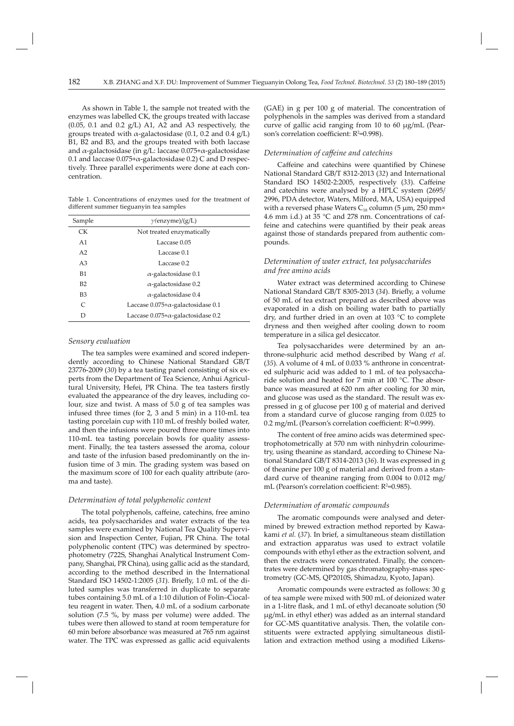As shown in Table 1, the sample not treated with the enzymes was labelled CK, the groups treated with laccase  $(0.05, 0.1$  and  $0.2$   $g/L$ ) A1, A2 and A3 respectively, the groups treated with  $\alpha$ -galactosidase (0.1, 0.2 and 0.4 g/L) B1, B2 and B3, and the groups treated with both laccase and  $\alpha$ -galactosidase (in g/L: laccase 0.075+ $\alpha$ -galactosidase 0.1 and laccase  $0.075 + \alpha$ -galactosidase 0.2) C and D respectively. Three parallel experiments were done at each concentration.

Table 1. Concentrations of enzymes used for the treatment of different summer tieguanyin tea samples

| Sample         | $\gamma$ (enzyme)/(g/L)                     |
|----------------|---------------------------------------------|
| CK.            | Not treated enzymatically                   |
| A <sub>1</sub> | Laccase 0.05                                |
| A2             | Laccase 0.1                                 |
| A <sub>3</sub> | Laccase 0.2                                 |
| B1             | $\alpha$ -galactosidase 0.1                 |
| B2             | $\alpha$ -galactosidase 0.2                 |
| B <sub>3</sub> | $\alpha$ -galactosidase 0.4                 |
| $\subset$      | Laccase $0.075 + \alpha$ -galactosidase 0.1 |
| D              | Laccase $0.075 + \alpha$ -galactosidase 0.2 |
|                |                                             |

#### *Sensory evaluation*

The tea samples were examined and scored independently according to Chinese National Standard GB/T 23776-2009 (*30* ) by a tea tasting panel consisting of six experts from the Department of Tea Science, Anhui Agricultural University, Hefei, PR China. The tea tasters firstly evaluated the appearance of the dry leaves, including colour, size and twist. A mass of 5.0 g of tea samples was infused three times (for 2, 3 and 5 min) in a 110-mL tea tasting porcelain cup with 110 mL of freshly boiled water, and then the infusions were poured three more times into 110-mL tea tasting porcelain bowls for quality assessment. Finally, the tea tasters assessed the aroma, colour and taste of the infusion based predominantly on the infusion time of 3 min. The grading system was based on the maximum score of 100 for each quality attribute (aroma and taste).

#### *Determination of total polyphenolic content*

The total polyphenols, caffeine, catechins, free amino acids, tea polysaccharides and water extracts of the tea samples were examined by National Tea Quality Supervision and Inspection Center, Fujian, PR China. The total polyphenolic content (TPC) was determined by spectrophotometry (722S, Shanghai Analytical Instrument Company, Shanghai, PR China), using gallic acid as the standard, according to the method described in the International Standard ISO 14502-1:2005 (31). Briefly, 1.0 mL of the diluted samples was transferred in duplicate to separate tubes containing 5.0 mL of a 1:10 dilution of Folin-Ciocalteu reagent in water. Then, 4.0 mL of a sodium carbonate solution (7.5 %, by mass per volume) were added. The tubes were then allowed to stand at room temperature for 60 min before absorbance was measured at 765 nm against water. The TPC was expressed as gallic acid equivalents

 $(GAE)$  in g per 100 g of material. The concentration of polyphenols in the samples was derived from a standard curve of gallic acid ranging from 10 to 60 μg/mL (Pearson's correlation coefficient: R<sup>2</sup>=0.998).

#### *Determination of caff eine and catec hins*

Caffeine and catechins were quantified by Chinese National Standard GB/T 8312-2013 (32) and International Standard ISO 14502-2:2005, respectively (33). Caffeine and catechins were analysed by a HPLC system (2695/ 2996, PDA detector, Waters, Milford, MA, USA) equipped with a reversed phase Waters  $C_{18}$  column (5 µm, 250 mm× 4.6 mm i.d.) at 35 °C and 278 nm. Concentrations of caffeine and catechins were quantified by their peak areas against those of standards prepared from authentic compounds.

## *Determination of water extract, tea polysaccharides and free amino acids*

Water extract was determined according to Chinese National Standard GB/T 8305-2013 (34). Briefly, a volume of 50 mL of tea extract prepared as described above was evaporated in a dish on boiling water bath to partially dry, and further dried in an oven at 103 °C to complete dryness and then weighed after cooling down to room temperature in a silica gel desiccator.

Tea polysaccharides were determined by an anthrone-sulphuric acid method described by Wang *et al*. (*35*). A volume of 4 mL of 0.033 % anthrone in concentrated sulphuric acid was added to 1 mL of tea polysaccharide solution and heated for 7 min at 100 °C. The absorbance was measured at 620 nm after cooling for 30 min, and glucose was used as the standard. The result was expressed in g of glucose per 100 g of material and derived from a standard curve of glucose ranging from 0.025 to 0.2 mg/mL (Pearson's correlation coefficient: R²=0.999).

The content of free amino acids was determined spectrophotometrically at 570 nm with ninhydrin colourimetry, using theanine as standard, according to Chinese National Standard GB/T 8314-2013 (*36*). It was expressed in g of theanine per 100 g of material and derived from a standard curve of theanine ranging from 0.004 to 0.012 mg/ mL (Pearson's correlation coefficient: R²=0.985).

#### *Determination of aromatic compounds*

The aromatic compounds were analysed and determined by brewed extraction method reported by Kawakami *et al.* (*37*). In brief, a simultaneous steam distillation and extraction apparatus was used to extract volatile compounds with ethyl ether as the extraction solvent, and then the extracts were concentrated. Finally, the concentrates were determined by gas chromatography-mass spectrometry (GC-MS, QP2010S, Shimadzu, Kyoto, Japan).

Aromatic compounds were extracted as follows: 30 g of tea sample were mixed with 500 mL of deionized water in a 1-litre flask, and 1 mL of ethyl decanoate solution (50  $\mu$ g/mL in ethyl ether) was added as an internal standard for GC-MS quantitative analysis. Then, the volatile constituents were extracted applying simultaneous distillation and extraction method using a modified Likens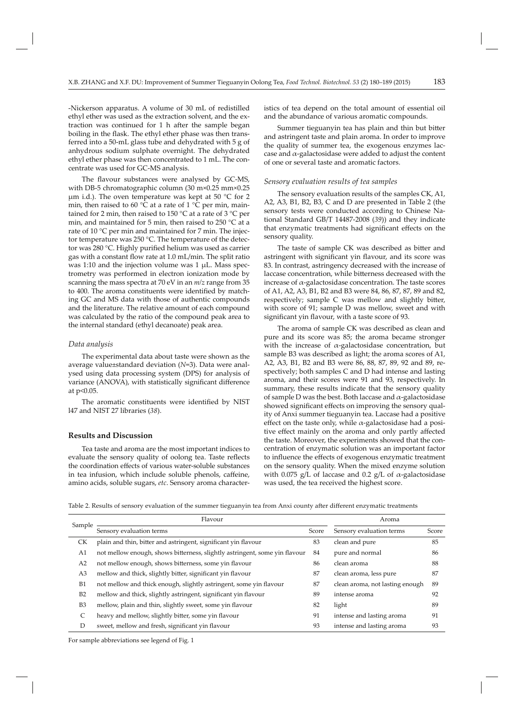-Nickerson apparatus. A volume of 30 mL of redistilled ethyl ether was used as the extraction solvent, and the extraction was continued for 1 h after the sample began boiling in the flask. The ethyl ether phase was then transferred into a 50-mL glass tube and dehydrated with 5 g of anhydrous sodium sulphate overnight. The dehydrated ethyl ether phase was then concentrated to 1 mL. The concentrate was used for GC-MS analysis.

The flavour substances were analysed by GC-MS, with DB-5 chromatographic column (30 m×0.25 mm×0.25 μm i.d.). The oven temperature was kept at 50 °C for 2 min, then raised to 60 °C at a rate of 1 °C per min, maintained for 2 min, then raised to 150  $\degree$ C at a rate of 3  $\degree$ C per min, and maintained for 5 min, then raised to 250 °C at a rate of 10 °C per min and maintained for 7 min. The injector temperature was 250 °C. The temperature of the detector was 280 °C. Highly purified helium was used as carrier gas with a constant flow rate at 1.0 mL/min. The split ratio was 1:10 and the injection volume was 1 μL. Mass spectrometry was performed in electron ionization mode by scanning the mass spectra at 70 eV in an *m/z* range from 35 to 400. The aroma constituents were identified by matching GC and MS data with those of authentic compounds and the literature. The relative amount of each compound was calculated by the ratio of the compound peak area to the internal standard (ethyl decanoate) peak area.

#### *Data analysis*

The experimental data about taste were shown as the average value±standard deviation (*N*=3). Data were analysed using data processing system (DPS) for analysis of variance (ANOVA), with statistically significant difference at p<0.05.

The aromatic constituents were identified by NIST l47 and NIST 27 libraries (*38*).

## **Results and Discussion**

Tea taste and aroma are the most important indices to evaluate the sensory quality of oolong tea. Taste reflects the coordination effects of various water-soluble substances in tea infusion, which include soluble phenols, caffeine, amino acids, soluble sugars, *etc*. Sensory aroma characteristics of tea depend on the total amount of essential oil and the abundance of various aromatic compounds.

Summer tieguanyin tea has plain and thin but bitter and astringent taste and plain aroma. In order to improve the quality of summer tea, the exogenous enzymes laccase and  $\alpha$ -galactosidase were added to adjust the content of one or several taste and aromatic factors.

## *Sensory evaluation results of tea s amples*

The sensory evaluation results of the samples CK, A1, A2,A3, B1, B2, B3, C and D are presented in Table 2 (the sensory tests were conducted according to Chinese National Standard GB/T 14487-2008 (39)) and they indicate that enzymatic treatments had significant effects on the sensory quality.

The taste of sample CK was described as bitter and astringent with significant yin flavour, and its score was 83. In contrast, astringency decreased with the increase of laccase concentration, while bitterness decreased with the increase of  $\alpha$ -galactosidase concentration. The taste scores of A1, A2, A3, B1, B2 and B3 were 84, 86, 87, 87, 89 and 82, respectively; sample C was mellow and slightly bitter, with score of 91; sample D was mellow, sweet and with significant yin flavour, with a taste score of 93.

The aroma of sample CK was described as clean and pure and its score was 85; the aroma became stronger with the increase of  $\alpha$ -galactosidase concentration, but sample B3 was described as light; the aroma scores of A1, A2, A3, B1, B2 and B3 were 86, 88, 87, 89, 92 and 89, respectively; both samples C and D had intense and lasting aroma, and their scores were 91 and 93, respectively. In summary, these results indicate that the sensory quality of sample D was the best. Both laccase and  $\alpha$ -galactosidase showed significant effects on improving the sensory quality of Anxi summer tieguanyin tea. Laccase had a positive effect on the taste only, while  $\alpha$ -galactosidase had a positive effect mainly on the aroma and only partly affected the taste. Moreover, the experiments showed that the concentration of enzymatic solution was an important factor to influence the effects of exogenous enzymatic treatment on the sensory quality. When the mixed enzyme solution with 0.075 g/L of laccase and 0.2 g/L of  $\alpha$ -galactosidase was used, the tea received the highest score.

Table 2. Results of sensory evaluation of the summer tieguanyin tea from Anxi county after different enzymatic treatments

| Sample         | Flavour                                                                    | Aroma |                                 |       |  |
|----------------|----------------------------------------------------------------------------|-------|---------------------------------|-------|--|
|                | Sensory evaluation terms                                                   | Score | Sensory evaluation terms        | Score |  |
| СK             | plain and thin, bitter and astringent, significant yin flavour             | 83    | clean and pure                  | 85    |  |
| A <sub>1</sub> | not mellow enough, shows bitterness, slightly astringent, some yin flavour | 84    | pure and normal                 | 86    |  |
| A <sub>2</sub> | not mellow enough, shows bitterness, some yin flavour                      | 86    | clean aroma                     | 88    |  |
| A3             | mellow and thick, slightly bitter, significant yin flavour                 | 87    | clean aroma, less pure          | 87    |  |
| B1             | not mellow and thick enough, slightly astringent, some yin flavour         | 87    | clean aroma, not lasting enough | 89    |  |
| B2             | mellow and thick, slightly astringent, significant yin flavour             | 89    | intense aroma                   | 92    |  |
| B <sub>3</sub> | mellow, plain and thin, slightly sweet, some yin flavour                   | 82    | light                           | 89    |  |
| C              | heavy and mellow, slightly bitter, some yin flavour                        | 91    | intense and lasting aroma       | 91    |  |
| D              | sweet, mellow and fresh, significant yin flavour                           | 93    | intense and lasting aroma       | 93    |  |

For sample abbreviations see legend of Fig. 1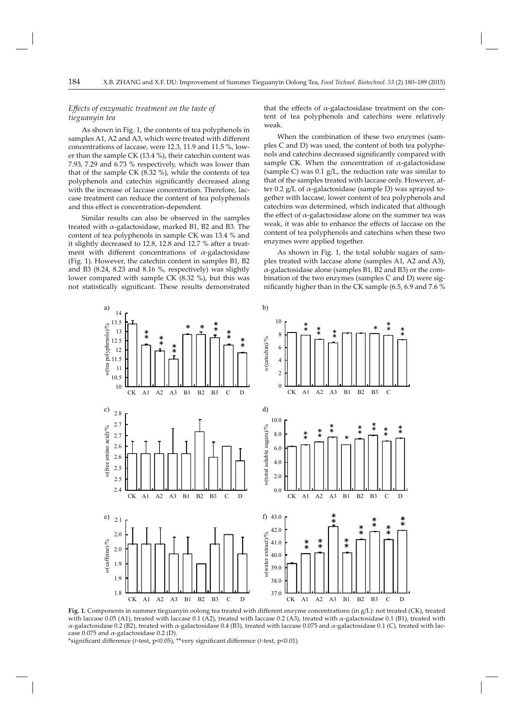# *Eff ects of enzymatic treatment on the taste of tieguanyin tea*

As shown in Fig. 1, the contents of tea polyphenols in samples A1, A2 and A3, which were treated with different concentrations of laccase, were 12.3, 11.9 and 11.5 %, lower than the sample CK (13.4 %), their catechin content was 7.93, 7.29 and  $6.73$  % respectively, which was lower than that of the sample CK  $(8.32 \%)$ , while the contents of tea polyphenols and catechin significantly decreased along with the increase of laccase concentration. Therefore, laccase treatment can reduce the content of tea polyphenols and this effect is concentration-dependent.

Similar results can also be observed in the samples treated with  $\alpha$ -galactosidase, marked B1, B2 and B3. The content of tea polyphenols in sample CK was 13.4 % and it slightly decreased to 12.8, 12.8 and 12.7  $%$  after a treatment with different concentrations of  $\alpha$ -galactosidase (Fig. 1). However, the catechin content in samples  $B1$ ,  $B2$ and B3  $(8.24, 8.23, 8.16, %$  respectively) was slightly lower compared with sample CK (8.32 %), but this was not statistically significant. These results demonstrated that the effects of  $\alpha$ -galactosidase treatment on the content of tea polyphenols and catechins were relatively weak.

When the combination of these two enzymes (samples C and D) was used, the content of both tea polyphenols and catechins decreased significantly compared with sample CK. When the concentration of  $\alpha$ -galactosidase (sample C) was  $0.1$  g/L, the reduction rate was similar to that of the samples treated with laccase only. However, after 0.2 g/L of α-galactosidase (sample D) was sprayed together with laccase, lower content of tea polyphenols and catechins was determined, which indicated that although the effect of  $\alpha$ -galactosidase alone on the summer tea was weak, it was able to enhance the effects of laccase on the content of tea polyphenols and catechins when these two enzymes were applied together.

As shown in Fig. 1, the total soluble sugars of samples treated with laccase alone (samples A1, A2 and A3),  $\alpha$ -galactosidase alone (samples B1, B2 and B3) or the combination of the two enzymes (samples C and D) were significantly higher than in the CK sample  $(6.5, 6.9 \text{ and } 7.6 \text{ %}$ 



Fig. 1. Components in summer tieguanyin oolong tea treated with different enzyme concentrations (in g/L): not treated (CK), treated with laccase 0.05 (A1), treated with laccase 0.1 (A2), treated with laccase 0.2 (A3), treated with α-galactosidase 0.1 (B1), treated with α-galactosidase 0.2 (B2), treated with α-galactosidase 0.4 (B3), treated with laccase 0.075 and α-galactosidase 0.1 (C), treated with laccase 0.075 and  $\alpha$ -galactosidase 0.2 (D).

\*significant difference (*t*-test, p<0.05), \*\*very significant difference (*t*-test, p<0.01)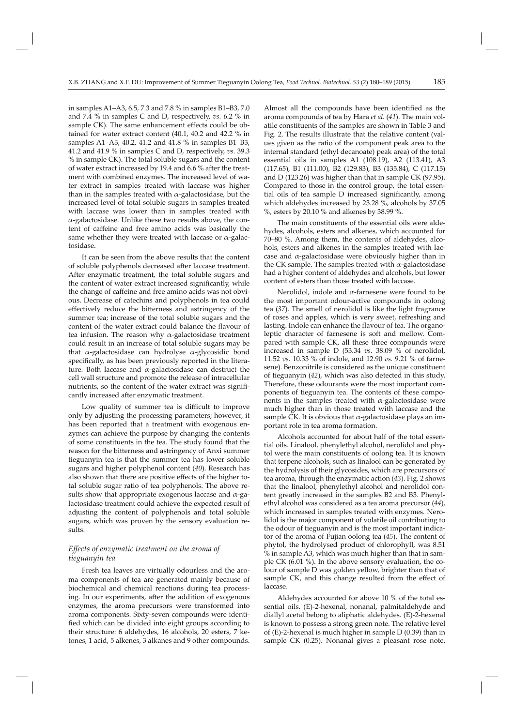in samples A1–A3, 6.5, 7.3 and 7.8 % in samples B1–B3, 7.0 and 7.4 % in samples C and D, respectively, *vs.* 6.2 % in sample CK). The same enhancement effects could be obtained for water extract content (40.1, 40.2 and 42.2 % in samples A1-A3, 40.2, 41.2 and 41.8 % in samples B1-B3, 41.2 and 41.9 % in samples C and D, respectively, *vs.* 39.3 % in sample CK). The total soluble sugars and the content of water extract increased by 19.4 and 6.6 % after the treatment with combined enzymes. The increased level of water extract in samples treated with laccase was higher than in the samples treated with  $\alpha$ -galactosidase, but the increased level of total soluble sugars in samples treated with laccase was lower than in samples treated with  $\alpha$ -galactosidase. Unlike these two results above, the content of caffeine and free amino acids was basically the same whether they were treated with laccase or  $\alpha$ -galactosidase.

It can be seen from the above results that the content of soluble polyphenols decreased after laccase treatment. After enzymatic treatment, the total soluble sugars and the content of water extract increased significantly, while the change of caffeine and free amino acids was not obvious. Decrease of catechins and polyphenols in tea could effectively reduce the bitterness and astringency of the summer tea; increase of the total soluble sugars and the content of the water extract could balance the flavour of tea infusion. The reason why  $\alpha$ -galactosidase treatment could result in an increase of total soluble sugars may be that  $α$ -galactosidase can hydrolyse  $α$ -glycosidic bond specifically, as has been previously reported in the literature. Both laccase and α-galactosidase can destruct the cell wall structure and promote the release of intracellular nutrients, so the content of the water extract was significantly increased after enzymatic treatment.

Low quality of summer tea is difficult to improve only by adjusting the processing parameters; however, it has been reported that a treatment with exogenous enzymes can achieve the purpose by changing the contents of some constituents in the tea. The study found that the reason for the bitterness and astringency of Anxi summer tieguanyin tea is that the summer tea has lower soluble sugars and higher polyphenol content (*40*). Research has also shown that there are positive effects of the higher total soluble sugar ratio of tea polyphenols. The above results show that appropriate exogenous laccase and  $\alpha$ -galactosidase treatment could achieve the expected result of adjusting the content of polyphenols and total soluble sugars, which was proven by the sensory evaluation results.

# *Eff ects of enzymatic treatment on the aroma of tieguanyin tea*

Fresh tea leaves are virtually odourless and the aroma components of tea are generated mainly because of biochemical and chemical reactions during tea processing. In our experiments, after the addition of exogenous enzymes, the aroma precursors were transformed into aroma components. Sixty-seven compounds were identified which can be divided into eight groups according to their structure: 6 aldehydes, 16 alcohols, 20 esters, 7 ketones, 1 acid, 5 alkenes, 3 alkanes and 9 other compounds.

Almost all the compounds have been identified as the aroma compounds of tea by Hara *et al.* (*41*). The main volatile constituents of the samples are shown in Table 3 and Fig. 2. The results illustrate that the relative content (values given as the ratio of the component peak area to the internal standard (ethyl decanoate) peak area) of the total essential oils in samples A1 (108.19), A2 (113.41), A3 (117.65 ), B1 (111.00), B2 (129.83), B3 (135.84), C (117.15) and D (123.26) was higher than that in sample CK (97.95). Compared to those in the control group, the total essential oils of tea sample D increased significantly, among which aldehydes increased by 23.28 %, alcohols by 37.05 %, esters by 20.10 % and alkenes by 38.99 %.

The main constituents of the essential oils were aldehydes, alcohols, esters and alkenes, which accounted for 70–80 %. Among them, the contents of aldehydes, alcohols, esters and alkenes in the samples treated with laccase and  $\alpha$ -galactosidase were obviously higher than in the CK sample. The samples treated with  $\alpha$ -galactosidase had a higher content of aldehydes and alcohols, but lower content of esters than those treated with laccase.

Nerolidol, indole and  $\alpha$ -farnesene were found to be the most important odour-active compounds in oolong tea (*37*). The smell of nerolidol is like the light fragrance of roses and apples, which is very sweet, refreshing and lasting. Indole can enhance the flavour of tea. The organoleptic character of farnesene is soft and mellow. Compared with sample CK, all these three compounds were increased in sample D (53.34 *vs.* 38.09 % of nerolidol, 11.52 *vs.* 10.33 % of indole, and 12.90 *vs.* 9.21 % of farnesene). Benzonitrile is considered as the unique constituent of tieguanyin (*42*), which was also detected in this study. Therefore, these odourants were the most important components of tieguanyin tea. The contents of these components in the samples treated with  $\alpha$ -galactosidase were much higher than in those treated with laccase and the sample CK. It is obvious that  $\alpha$ -galactosidase plays an important role in tea aroma formation.

Alcohols accounted for about half of the total essential oils. Linalool, phenylethyl alcohol, nerolidol and phytol were the main constituents of oolong tea. It is known that terpene alcohols, such as linalool can be generated by the hydrolysis of their glycosides, which are precursors of tea aroma, through the enzymatic action (*43*). Fig. 2 shows that the linalool, phenylethyl alcohol and nerolidol content greatly increased in the samples B2 and B3. Phenylethyl alcohol was considered as a tea aroma precursor (*44*), which increased in samples treated with enzymes. Nerolidol is the major component of volatile oil contributing to the odour of tieguanyin and is the most important indicator of the aroma of Fujian oolong tea (*45*). The content of phytol, the hydrolysed product of chlorophyll, was 8.51 % in sample A3, which was much higher than that in sample CK (6.01 %). In the above sensory evaluation, the colour of sample D was golden yellow, brighter than that of sample CK, and this change resulted from the effect of laccase.

Aldehydes accounted for above 10 % of the total essential oils. (E)-2-hexenal, nonanal, palmitaldehyde and diallyl acetal belong to aliphatic aldehydes. (E)-2-hexenal is known to possess a strong green note. The relative level of (E)-2-hexenal is much higher in sample D (0.39) than in sample CK (0.25). Nonanal gives a pleasant rose note.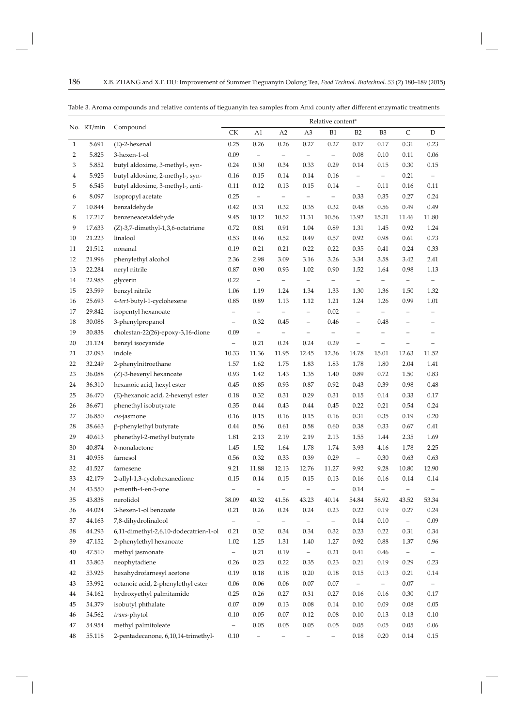|    | No. RT/min | Compound                              | Relative content*        |                          |                          |                          |                          |                          |                          |                          |                          |
|----|------------|---------------------------------------|--------------------------|--------------------------|--------------------------|--------------------------|--------------------------|--------------------------|--------------------------|--------------------------|--------------------------|
|    |            |                                       | CK                       | A1                       | A2                       | A <sub>3</sub>           | B1                       | B2                       | B <sub>3</sub>           | $\mathsf C$              | $\mathbf D$              |
| 1  | 5.691      | $(E)$ -2-hexenal                      | 0.25                     | 0.26                     | 0.26                     | 0.27                     | 0.27                     | 0.17                     | 0.17                     | 0.31                     | 0.23                     |
| 2  | 5.825      | 3-hexen-1-ol                          | 0.09                     | $\overline{\phantom{a}}$ | $\qquad \qquad -$        | $\overline{\phantom{a}}$ | $\overline{\phantom{a}}$ | 0.08                     | 0.10                     | 0.11                     | 0.06                     |
| 3  | 5.852      | butyl aldoxime, 3-methyl-, syn-       | 0.24                     | 0.30                     | 0.34                     | 0.33                     | 0.29                     | 0.14                     | 0.15                     | 0.30                     | 0.15                     |
| 4  | 5.925      | butyl aldoxime, 2-methyl-, syn-       | 0.16                     | 0.15                     | 0.14                     | 0.14                     | 0.16                     | $\qquad \qquad -$        | $\qquad \qquad -$        | 0.21                     | $\qquad \qquad -$        |
| 5  | 6.545      | butyl aldoxime, 3-methyl-, anti-      | 0.11                     | 0.12                     | 0.13                     | 0.15                     | 0.14                     | $\qquad \qquad -$        | 0.11                     | 0.16                     | 0.11                     |
| 6  | 8.097      | isopropyl acetate                     | 0.25                     | $\qquad \qquad -$        | $\qquad \qquad -$        | $\overline{\phantom{a}}$ | $\overline{\phantom{0}}$ | 0.33                     | 0.35                     | 0.27                     | 0.24                     |
| 7  | 10.844     | benzaldehyde                          | 0.42                     | 0.31                     | 0.32                     | 0.35                     | 0.32                     | 0.48                     | 0.56                     | 0.49                     | 0.49                     |
| 8  | 17.217     | benzeneacetaldehyde                   | 9.45                     | 10.12                    | 10.52                    | 11.31                    | 10.56                    | 13.92                    | 15.31                    | 11.46                    | 11.80                    |
| 9  | 17.633     | (Z)-3,7-dimethyl-1,3,6-octatriene     | 0.72                     | 0.81                     | 0.91                     | 1.04                     | 0.89                     | 1.31                     | 1.45                     | 0.92                     | 1.24                     |
| 10 | 21.223     | linalool                              | 0.53                     | 0.46                     | 0.52                     | 0.49                     | 0.57                     | 0.92                     | 0.98                     | 0.61                     | 0.73                     |
| 11 | 21.512     | nonanal                               | 0.19                     | 0.21                     | 0.21                     | 0.22                     | 0.22                     | 0.35                     | 0.41                     | 0.24                     | 0.33                     |
| 12 | 21.996     | phenylethyl alcohol                   | 2.36                     | 2.98                     | 3.09                     | 3.16                     | 3.26                     | 3.34                     | 3.58                     | 3.42                     | 2.41                     |
| 13 | 22.284     | neryl nitrile                         | 0.87                     | 0.90                     | 0.93                     | 1.02                     | 0.90                     | 1.52                     | 1.64                     | 0.98                     | 1.13                     |
| 14 | 22.985     | glycerin                              | 0.22                     | $\overline{\phantom{a}}$ | $\qquad \qquad -$        | $\overline{\phantom{a}}$ | $\overline{\phantom{a}}$ | $\qquad \qquad -$        | -                        | $\overline{\phantom{a}}$ | $\overline{\phantom{a}}$ |
| 15 | 23.599     | benzyl nitrile                        | 1.06                     | 1.19                     | 1.24                     | 1.34                     | 1.33                     | 1.30                     | 1.36                     | 1.50                     | 1.32                     |
| 16 | 25.693     | 4-tert-butyl-1-cyclohexene            | 0.85                     | 0.89                     | 1.13                     | 1.12                     | 1.21                     | 1.24                     | 1.26                     | 0.99                     | 1.01                     |
| 17 | 29.842     | isopentyl hexanoate                   | $\qquad \qquad -$        | -                        | -                        | $\qquad \qquad -$        | 0.02                     | $\overline{\phantom{0}}$ |                          |                          |                          |
| 18 | 30.086     | 3-phenylpropanol                      | $\qquad \qquad -$        | 0.32                     | 0.45                     | $\overline{\phantom{m}}$ | 0.46                     | $\qquad \qquad -$        | 0.48                     | $\overline{\phantom{0}}$ | -                        |
| 19 | 30.838     | cholestan-22(26)-epoxy-3,16-dione     | 0.09                     | $\qquad \qquad -$        | $\qquad \qquad -$        | $\qquad \qquad -$        |                          |                          |                          |                          |                          |
| 20 | 31.124     | benzyl isocyanide                     | $\overline{\phantom{0}}$ | 0.21                     | 0.24                     | 0.24                     | 0.29                     | $\qquad \qquad -$        | $\qquad \qquad -$        | $\overline{\phantom{0}}$ |                          |
| 21 | 32.093     | indole                                | 10.33                    | 11.36                    | 11.95                    | 12.45                    | 12.36                    | 14.78                    | 15.01                    | 12.63                    | 11.52                    |
| 22 | 32.249     | 2-phenylnitroethane                   | 1.57                     | 1.62                     | 1.75                     | 1.83                     | 1.83                     | 1.78                     | 1.80                     | 2.04                     | 1.41                     |
| 23 | 36.088     | (Z)-3-hexenyl hexanoate               | 0.93                     | 1.42                     | 1.43                     | 1.35                     | 1.40                     | 0.89                     | 0.72                     | 1.50                     | 0.83                     |
| 24 | 36.310     | hexanoic acid, hexyl ester            | 0.45                     | 0.85                     | 0.93                     | 0.87                     | 0.92                     | 0.43                     | 0.39                     | 0.98                     | 0.48                     |
| 25 | 36.470     | (E)-hexanoic acid, 2-hexenyl ester    | 0.18                     | 0.32                     | 0.31                     | 0.29                     | 0.31                     | 0.15                     | 0.14                     | 0.33                     | $0.17\,$                 |
| 26 | 36.671     | phenethyl isobutyrate                 | 0.35                     | 0.44                     | 0.43                     | 0.44                     | 0.45                     | 0.22                     | 0.21                     | 0.54                     | 0.24                     |
| 27 | 36.850     | cis-jasmone                           | 0.16                     | 0.15                     | 0.16                     | 0.15                     | 0.16                     | 0.31                     | 0.35                     | 0.19                     | 0.20                     |
| 28 | 38.663     | β-phenylethyl butyrate                | 0.44                     | 0.56                     | 0.61                     | 0.58                     | 0.60                     | 0.38                     | 0.33                     | 0.67                     | 0.41                     |
| 29 | 40.613     | phenethyl-2-methyl butyrate           | 1.81                     | 2.13                     | 2.19                     | 2.19                     | 2.13                     | 1.55                     | 1.44                     | 2.35                     | 1.69                     |
| 30 | 40.874     | δ-nonalactone                         | 1.45                     | 1.52                     | 1.64                     | 1.78                     | 1.74                     | 3.93                     | 4.16                     | 1.78                     | 2.25                     |
| 31 | 40.958     | farnesol                              | 0.56                     | 0.32                     | 0.33                     | 0.39                     | 0.29                     | $\qquad \qquad -$        | 0.30                     | 0.63                     | 0.63                     |
| 32 | 41.527     | farnesene                             | 9.21                     | 11.88                    | 12.13                    | 12.76                    | 11.27                    | 9.92                     | 9.28                     | 10.80                    | 12.90                    |
| 33 | 42.179     | 2-allyl-1,3-cyclohexanedione          | 0.15                     | 0.14                     | 0.15                     | 0.15                     | 0.13                     | 0.16                     | 0.16                     | 0.14                     | 0.14                     |
| 34 | 43.550     | p-menth-4-en-3-one                    | $\overline{\phantom{a}}$ | $\qquad \qquad -$        | $\overline{\phantom{0}}$ | $\overline{\phantom{a}}$ | $\equiv$                 | $0.14\,$                 | $\overline{\phantom{0}}$ | $\overline{\phantom{a}}$ | $\qquad \qquad -$        |
| 35 | 43.838     | nerolidol                             | 38.09                    | 40.32                    | 41.56                    | 43.23                    | 40.14                    | 54.84                    | 58.92                    | 43.52                    | 53.34                    |
| 36 | 44.024     | 3-hexen-1-ol benzoate                 | 0.21                     | 0.26                     | 0.24                     | 0.24                     | 0.23                     | 0.22                     | 0.19                     | 0.27                     | 0.24                     |
| 37 | 44.163     | 7,8-dihydrolinalool                   | $\overline{\phantom{a}}$ | $\qquad \qquad -$        | $\equiv$                 | $\overline{\phantom{0}}$ | $\overline{\phantom{0}}$ | 0.14                     | $0.10\,$                 | $\overline{\phantom{0}}$ | $0.09\,$                 |
| 38 | 44.293     | 6,11-dimethyl-2,6,10-dodecatrien-1-ol | 0.21                     | 0.32                     | 0.34                     | 0.34                     | 0.32                     | 0.23                     | 0.22                     | 0.31                     | $0.34\,$                 |
| 39 | 47.152     | 2-phenylethyl hexanoate               | 1.02                     | 1.25                     | 1.31                     | 1.40                     | 1.27                     | 0.92                     | $0.88\,$                 | 1.37                     | 0.96                     |
| 40 | 47.510     | methyl jasmonate                      | $\equiv$                 | 0.21                     | 0.19                     | $\equiv$                 | 0.21                     | 0.41                     | 0.46                     | $\overline{\phantom{a}}$ | $\overline{\phantom{a}}$ |
| 41 | 53.803     | neophytadiene                         | 0.26                     | 0.23                     | 0.22                     | 0.35                     | 0.23                     | 0.21                     | 0.19                     | 0.29                     | 0.23                     |
| 42 | 53.925     | hexahydrofarnesyl acetone             | 0.19                     | 0.18                     | $0.18\,$                 | 0.20                     | $0.18\,$                 | 0.15                     | $0.13\,$                 | 0.21                     | $0.14\,$                 |
| 43 | 53.992     | octanoic acid, 2-phenylethyl ester    | $0.06\,$                 | 0.06                     | 0.06                     | 0.07                     | $0.07\,$                 | $\overline{\phantom{0}}$ | $-$ .                    | $0.07\,$                 | $\overline{\phantom{0}}$ |
| 44 | 54.162     | hydroxyethyl palmitamide              | 0.25                     | 0.26                     | 0.27                     | 0.31                     | 0.27                     | 0.16                     | 0.16                     | 0.30                     | $0.17\,$                 |
| 45 | 54.379     | isobutyl phthalate                    | 0.07                     | 0.09                     | 0.13                     | 0.08                     | 0.14                     | 0.10                     | 0.09                     | 0.08                     | 0.05                     |
| 46 | 54.562     | trans-phytol                          | 0.10                     | 0.05                     | $0.07\,$                 | 0.12                     | $0.08\,$                 | 0.10                     | 0.13                     | 0.13                     | $0.10\,$                 |
| 47 | 54.954     | methyl palmitoleate                   | $\overline{\phantom{0}}$ | 0.05                     | 0.05                     | 0.05                     | 0.05                     | 0.05                     | $0.05\,$                 | 0.05                     | $0.06\,$                 |
| 48 | 55.118     | 2-pentadecanone, 6,10,14-trimethyl-   | 0.10                     | $\equiv$                 | $\equiv$                 | $\overline{\phantom{a}}$ | $\overline{\phantom{a}}$ | $0.18\,$                 | 0.20                     | 0.14                     | 0.15                     |

Table 3. Aroma compounds and relative contents of tieguanyin tea samples from Anxi county after different enzymatic treatments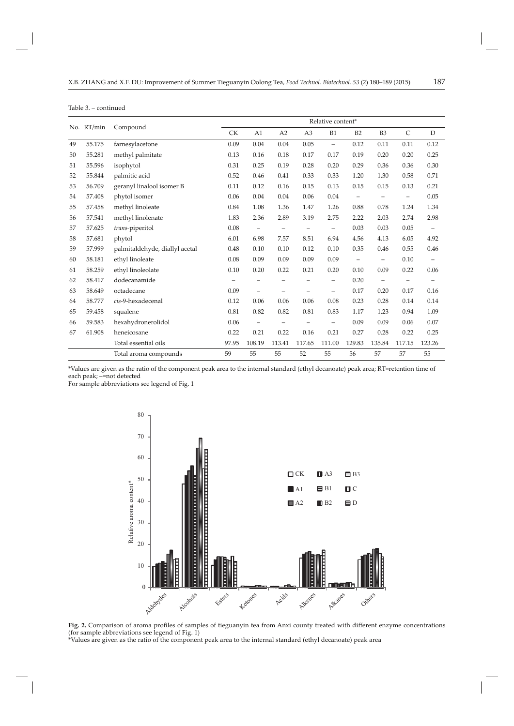|    | No. RT/min | Compound                       | Relative content* |                          |                   |                 |                          |                   |                          |                          |                          |
|----|------------|--------------------------------|-------------------|--------------------------|-------------------|-----------------|--------------------------|-------------------|--------------------------|--------------------------|--------------------------|
|    |            |                                | <b>CK</b>         | A1                       | A2                | A <sub>3</sub>  | B1                       | B2                | B <sub>3</sub>           | C                        | D                        |
| 49 | 55.175     | farnesylacetone                | 0.09              | 0.04                     | 0.04              | 0.05            | $\overline{\phantom{0}}$ | 0.12              | 0.11                     | 0.11                     | 0.12                     |
| 50 | 55.281     | methyl palmitate               | 0.13              | 0.16                     | 0.18              | 0.17            | 0.17                     | 0.19              | 0.20                     | 0.20                     | 0.25                     |
| 51 | 55.596     | isophytol                      | 0.31              | 0.25                     | 0.19              | 0.28            | 0.20                     | 0.29              | 0.36                     | 0.36                     | 0.30                     |
| 52 | 55.844     | palmitic acid                  | 0.52              | 0.46                     | 0.41              | 0.33            | 0.33                     | 1.20              | 1.30                     | 0.58                     | 0.71                     |
| 53 | 56.709     | geranyl linalool isomer B      | 0.11              | 0.12                     | 0.16              | 0.15            | 0.13                     | 0.15              | 0.15                     | 0.13                     | 0.21                     |
| 54 | 57.408     | phytol isomer                  | 0.06              | 0.04                     | 0.04              | 0.06            | 0.04                     | $\equiv$          | —                        | $\overline{\phantom{0}}$ | 0.05                     |
| 55 | 57.458     | methyl linoleate               | 0.84              | 1.08                     | 1.36              | 1.47            | 1.26                     | 0.88              | 0.78                     | 1.24                     | 1.34                     |
| 56 | 57.541     | methyl linolenate              | 1.83              | 2.36                     | 2.89              | 3.19            | 2.75                     | 2.22              | 2.03                     | 2.74                     | 2.98                     |
| 57 | 57.625     | trans-piperitol                | 0.08              | $\overline{\phantom{m}}$ | $\qquad \qquad -$ | $\qquad \qquad$ | $\qquad \qquad -$        | 0.03              | 0.03                     | 0.05                     | $\qquad \qquad -$        |
| 58 | 57.681     | phytol                         | 6.01              | 6.98                     | 7.57              | 8.51            | 6.94                     | 4.56              | 4.13                     | 6.05                     | 4.92                     |
| 59 | 57.999     | palmitaldehyde, diallyl acetal | 0.48              | 0.10                     | 0.10              | 0.12            | 0.10                     | 0.35              | 0.46                     | 0.55                     | 0.46                     |
| 60 | 58.181     | ethyl linoleate                | 0.08              | 0.09                     | 0.09              | 0.09            | 0.09                     | $\qquad \qquad =$ | $\overline{\phantom{0}}$ | 0.10                     | $\overline{\phantom{m}}$ |
| 61 | 58.259     | ethyl linoleolate              | 0.10              | 0.20                     | 0.22              | 0.21            | 0.20                     | 0.10              | 0.09                     | 0.22                     | 0.06                     |
| 62 | 58.417     | dodecanamide                   |                   |                          |                   |                 | $\qquad \qquad -$        | 0.20              | $\overline{\phantom{0}}$ | $\overline{\phantom{0}}$ |                          |
| 63 | 58.649     | octadecane                     | 0.09              |                          |                   |                 | —                        | 0.17              | 0.20                     | 0.17                     | 0.16                     |
| 64 | 58.777     | cis-9-hexadecenal              | 0.12              | 0.06                     | 0.06              | 0.06            | 0.08                     | 0.23              | 0.28                     | 0.14                     | 0.14                     |
| 65 | 59.458     | squalene                       | 0.81              | 0.82                     | 0.82              | 0.81            | 0.83                     | 1.17              | 1.23                     | 0.94                     | 1.09                     |
| 66 | 59.583     | hexahydronerolidol             | 0.06              |                          |                   |                 |                          | 0.09              | 0.09                     | 0.06                     | 0.07                     |
| 67 | 61.908     | heneicosane                    | 0.22              | 0.21                     | 0.22              | 0.16            | 0.21                     | 0.27              | 0.28                     | 0.22                     | 0.25                     |
|    |            | Total essential oils           | 97.95             | 108.19                   | 113.41            | 117.65          | 111.00                   | 129.83            | 135.84                   | 117.15                   | 123.26                   |
|    |            | Total aroma compounds          | 59                | 55                       | 55                | 52              | 55                       | 56                | 57                       | 57                       | 55                       |

\*Values are given as the ratio of the component peak area to the internal standard (ethyl decanoate) peak area; RT=retention time of each peak; –=not detected

For sample abbreviations see legend of Fig. 1



Fig. 2. Comparison of aroma profiles of samples of tieguanyin tea from Anxi county treated with different enzyme concentrations (for sample abbreviations see legend of Fig. 1)

\*Values are given as the ratio of the component peak area to the internal standard (ethyl decanoate) peak area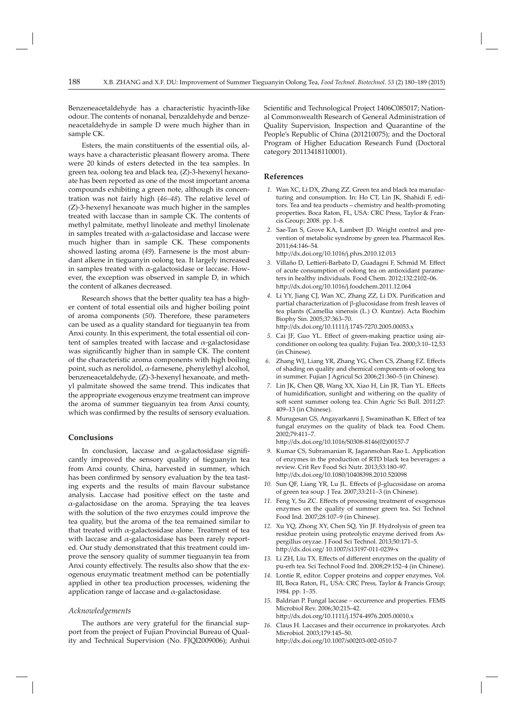Benzeneacetaldehyde has a characteristic hyacinth-like odour. The contents of nonanal, benzaldehyde and benzeneacetaldehyde in sample D were much higher than in sample CK.

Esters, the main constituents of the essential oils, always have a characteristic pleasant flowery aroma. There were 20 kinds of esters detected in the tea samples. In green tea, oolong tea and black tea, (Z)-3-hexenyl hexanoate has been reported as one of the most important aroma compounds exhibiting a green note, although its concentration was not fairly high (*46–48*). The relative level of  $(Z)$ -3-hexenyl hexanoate was much higher in the samples treated with laccase than in sample CK. The contents of methyl palmitate, methyl linoleate and methyl linolenate in samples treated with  $\alpha$ -galactosidase and laccase were much higher than in sample CK. These components showed lasting aroma (*49*). Farnesene is the most abundant alkene in tieguanyin oolong tea. It largely increased in samples treated with  $\alpha$ -galactosidase or laccase. However, the exception was observed in sample D, in which the content of alkanes decreased.

Research shows that the better quality tea has a higher content of total essential oils and higher boiling point of aroma components (*50*). Therefore, these parameters can be used as a quality standard for tieguanyin tea from Anxi county. In this experiment, the total essential oil content of samples treated with laccase and  $\alpha$ -galactosidase was significantly higher than in sample CK. The content of the characteristic aroma components with high boiling point, such as nerolidol, α-farnesene, phenylethyl alcohol, benzeneacetaldehyde, (Z)-3-hexenyl hexanoate, and methyl palmitate showed the same trend. This indicates that the appropriate exogenous enzyme treatment can improve the aroma of summer tieguanyin tea from Anxi county, which was confirmed by the results of sensory evaluation.

## **Conclusions**

In conclusion, laccase and  $\alpha$ -galactosidase significantly improved the sensory quality of tieguanyin tea from Anxi county, China, harvested in summer, which has been confirmed by sensory evaluation by the tea tasting experts and the results of main flavour substance analysis. Laccase had positive effect on the taste and  $\alpha$ -galactosidase on the aroma. Spraying the tea leaves with the solution of the two enzymes could improve the tea quality, but the aroma of the tea remained similar to that treated with  $\alpha$ -galactosidase alone. Treatment of tea with laccase and  $\alpha$ -galactosidase has been rarely reported. Our study demonstrated that this treatment could improve the sensory quality of summer tieguanyin tea from Anxi county effectively. The results also show that the exogenous enzymatic treatment method can be potentially applied in other tea production processes, widening the application range of laccase and  $\alpha$ -galactosidase.

#### *Acknowledgements*

The authors are very grateful for the financial support from the project of Fujian Provincial Bureau of Quality and Technical Supervision (No. FJQl2009006); Anhui Scientific and Technological Project 1406C085017; National Commonwealth Research of General Administration of Quality Supervision, Inspection and Quarantine of the People's Republic of China (201210075); and the Doctoral Program of Higher Education Research Fund (Doctoral category 20113418110001).

#### **References**

- *1.* Wan XC, Li DX, Zhang ZZ. Green tea and black tea manufacturing and consumption. In: Ho CT, Lin JK, Shahidi F, editors. Tea and tea products – chemistry and health-promoting properties. Boca Raton, FL, USA: CRC Press, Taylor & Francis Group; 2008. pp. 1–8.
- *2.* Sae-Tan S, Grove KA, Lambert JD. Weight control and prevention of metabolic syndrome by green tea. Pharmacol Res. 2011;64:146–54. http://dx.doi.org/10.1016/j.phrs.2010.12.013
- 3. Villaño D, Lettieri-Barbato D, Guadagni F, Schmid M. Effect of acute consumption of oolong tea on antioxidant parameters in healthy individuals. Food Chem. 2012;132:2102–06. http://dx.doi.org/10.1016/j.foodchem.2011.12.064
- 4. Li YY, Jiang CJ, Wan XC, Zhang ZZ, Li DX. Purification and partial characterization of β-glucosidase from fresh leaves of tea plants (Camellia sinensis (L.) O. Kuntze). Acta Biochim Biophy Sin. 2005;37:363–70. http://dx.doi.org/10.1111/j.1745-7270.2005.00053.x
- *5.* Cai IF, Guo YL. Effect of green-making practice using airconditioner on oolong tea quality. Fujian Tea. 2000;3:10–12,53 (in Chinese).
- 6. Zhang WJ, Liang YR, Zhang YG, Chen CS, Zhang FZ. Effects of shading on quality and chemical components of oolong tea in summer. Fujian J Agricul Sci 2006;21:360-5 (in Chinese).
- 7. Lin JK, Chen QB, Wang XX, Xiao H, Lin JR, Tian YL. Effects of humidification, sunlight and withering on the quality of soft scent summer oolong tea. Chin Agric Sci Bull. 2011;27: 409–13 (in Chinese).
- 8. Murugesan GS, Angayarkanni J, Swaminathan K. Effect of tea fungal enzymes on the quality of black tea. Food Chem. 2002;79:411–7. http://dx.doi.org/10.1016/S0308-8146(02)00157-7
- 9. Kumar CS, Subramanian R, Jaganmohan Rao L. Application of enzymes in the production of RTD black tea beverages: a review. Crit Rev Food Sci Nutr. 2013;53:180–97. http://dx.doi.org/10.1080/10408398.2010.520098
- 10. Sun QF, Liang YR, Lu JL. Effects of β-glucosidase on aroma of green tea soup. J Tea. 2 007;33:211–3 (in Chinese).
- 11. Feng Y, Su ZC. Effects of processing treatment of exogenous enzymes on the quality of summer green tea. Sci Technol Food Ind. 2007;28:107–9 (in Chinese).
- *12.* Xu YQ, Zhong XY, Chen SQ, Yin JF. Hydrolysis of green tea residue protein using proteolytic enzyme derived from Aspergillus oryzae. J Food Sci Technol. 2013;50:171–5. http://dx.doi.org/ 10.1007/s13197-011-0239-x
- 13. Li ZH, Liu TX. Effects of different enzymes on the quality of pu-erh tea. Sci Technol Food Ind. 2008;29:152–4 (in Chinese).
- *14.* Lontie R, editor. Copper proteins and copper enzymes, Vol. III, Boca Raton, FL, USA: CRC Press, Taylor & Francis Group; 1984. pp. 1–35.
- *15.* Baldrian P. Fungal laccase occurrence and properties. FEMS Microbiol Rev. 2006;30:215–42. http://dx.doi.org/10.1111/j.1574-4976.2005.00010.x
- *16.* Claus H. Laccases and their occurrence in prokaryotes. Arch Microbiol. 2003;179:145-50. http://dx.doi.org/10.1007/s00203-002-0510-7